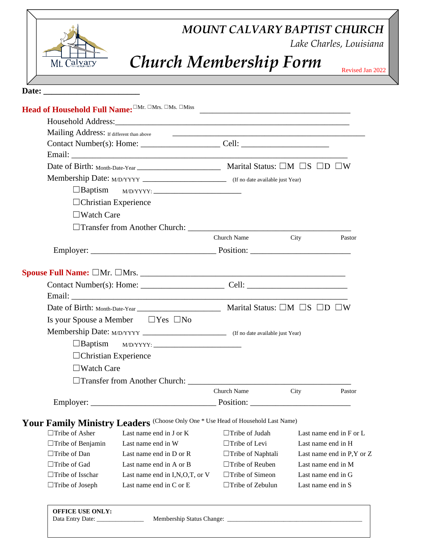| MOUNT CALVARY BAPTIST CHURCH<br>Lake Charles, Louisiana                          |                          |                    |                           |
|----------------------------------------------------------------------------------|--------------------------|--------------------|---------------------------|
| <b>Church Membership Form</b><br>Mt. Calvary                                     |                          |                    | Revised Jan 2022          |
|                                                                                  |                          |                    |                           |
|                                                                                  |                          |                    |                           |
|                                                                                  |                          |                    |                           |
|                                                                                  |                          |                    |                           |
|                                                                                  |                          |                    |                           |
|                                                                                  |                          |                    |                           |
|                                                                                  |                          |                    |                           |
|                                                                                  |                          |                    |                           |
| $\Box$ Baptism<br>$M/D/YYYY:$                                                    |                          |                    |                           |
|                                                                                  |                          |                    |                           |
| $\Box$ Christian Experience                                                      |                          |                    |                           |
| $\Box$ Watch Care                                                                |                          |                    |                           |
|                                                                                  |                          |                    |                           |
|                                                                                  | Church Name              | City               | Pastor                    |
|                                                                                  |                          |                    |                           |
|                                                                                  |                          |                    |                           |
|                                                                                  |                          |                    |                           |
|                                                                                  |                          |                    |                           |
|                                                                                  |                          |                    |                           |
|                                                                                  |                          |                    |                           |
| Is your Spouse a Member $\Box$ Yes $\Box$ No                                     |                          |                    |                           |
|                                                                                  |                          |                    |                           |
| $\Box$ Baptism                                                                   |                          |                    |                           |
| $\Box$ Christian Experience                                                      |                          |                    |                           |
| $\Box$ Watch Care                                                                |                          |                    |                           |
|                                                                                  |                          |                    |                           |
|                                                                                  | Church Name              | City               | Pastor                    |
|                                                                                  |                          |                    |                           |
| Your Family Ministry Leaders (Choose Only One * Use Head of Household Last Name) |                          |                    |                           |
| $\Box$ Tribe of Asher<br>Last name end in J or K                                 | $\Box$ Tribe of Judah    |                    | Last name end in F or L   |
| Last name end in W<br>$\Box$ Tribe of Benjamin                                   | $\Box$ Tribe of Levi     | Last name end in H |                           |
|                                                                                  | $\Box$ Tribe of Naphtali |                    | Last name end in P,Y or Z |
| $\Box$ Tribe of Dan<br>Last name end in D or R                                   |                          |                    |                           |
| $\Box$ Tribe of Gad<br>Last name end in A or B                                   | $\Box$ Tribe of Reuben   | Last name end in M |                           |
| $\Box$ Tribe of Isschar<br>Last name end in I,N,O,T, or V                        | $\Box$ Tribe of Simeon   | Last name end in G |                           |

| <b>OFFICE USE ONLY:</b><br>Membership Status Change:<br>Data Entry Date: |  |
|--------------------------------------------------------------------------|--|
|--------------------------------------------------------------------------|--|